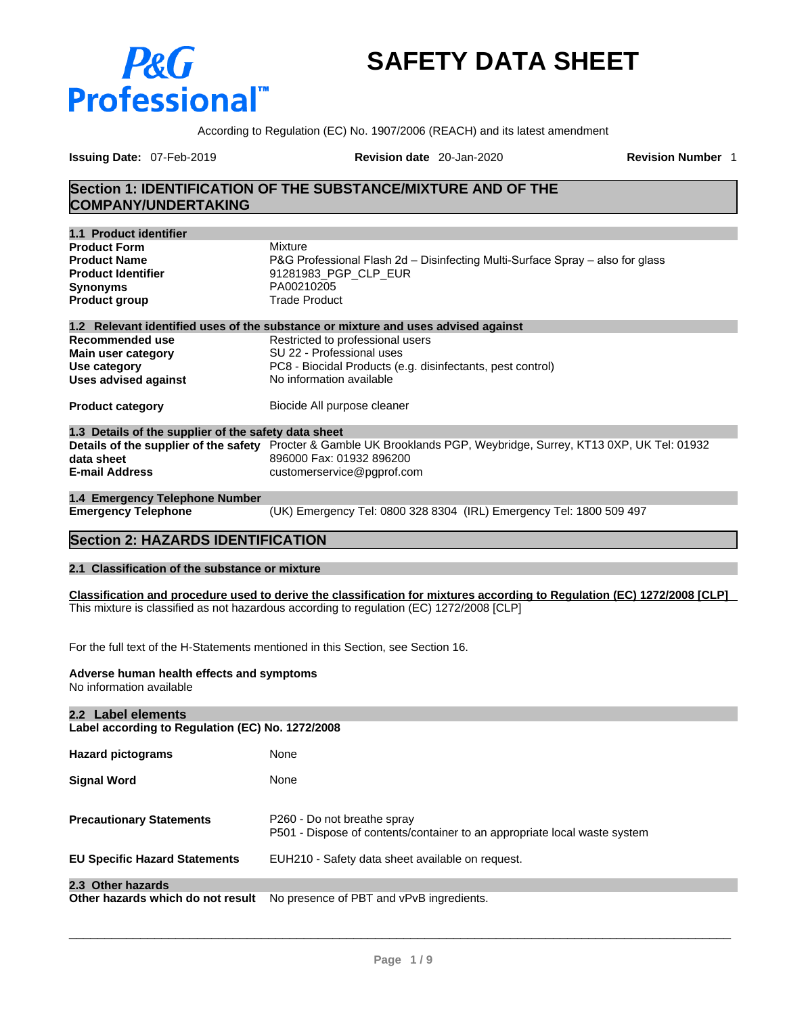# P&G **Professional**

# **SAFETY DATA SHEET**

According to Regulation (EC) No. 1907/2006 (REACH) and its latest amendment

**Issuing Date:** 07-Feb-2019 **Revision date** 20-Jan-2020 **Revision Number** 1

# **Section 1: IDENTIFICATION OF THE SUBSTANCE/MIXTURE AND OF THE COMPANY/UNDERTAKING**

| 1.1 Product identifier                               |                                                                                                                      |
|------------------------------------------------------|----------------------------------------------------------------------------------------------------------------------|
| <b>Product Form</b><br><b>Product Name</b>           | Mixture<br>P&G Professional Flash 2d – Disinfecting Multi-Surface Spray – also for glass                             |
| <b>Product Identifier</b>                            | 91281983_PGP_CLP_EUR                                                                                                 |
| <b>Synonyms</b>                                      | PA00210205                                                                                                           |
| <b>Product group</b>                                 | <b>Trade Product</b>                                                                                                 |
|                                                      | 1.2 Relevant identified uses of the substance or mixture and uses advised against                                    |
| Recommended use                                      | Restricted to professional users                                                                                     |
| Main user category                                   | SU 22 - Professional uses                                                                                            |
| Use category                                         | PC8 - Biocidal Products (e.g. disinfectants, pest control)                                                           |
| <b>Uses advised against</b>                          | No information available                                                                                             |
| <b>Product category</b>                              | Biocide All purpose cleaner                                                                                          |
| 1.3 Details of the supplier of the safety data sheet |                                                                                                                      |
|                                                      | Details of the supplier of the safety Procter & Gamble UK Brooklands PGP, Weybridge, Surrey, KT13 0XP, UK Tel: 01932 |
| data sheet                                           | 896000 Fax: 01932 896200                                                                                             |
| <b>E-mail Address</b>                                | customerservice@pgprof.com                                                                                           |
| 1.4 Emergency Telephone Number                       |                                                                                                                      |
| <b>Emergency Telephone</b>                           | (UK) Emergency Tel: 0800 328 8304 (IRL) Emergency Tel: 1800 509 497                                                  |

# **Section 2: HAZARDS IDENTIFICATION**

#### **2.1 Classification of the substance or mixture**

Classification and procedure used to derive the classification for mixtures according to Regulation (EC) 1272/2008 [CLP] This mixture is classified as not hazardous according to regulation (EC) 1272/2008 [CLP]

For the full text of the H-Statements mentioned in this Section, see Section 16.

#### **Adverse human health effects and symptoms**

No information available

| 2.2 Label elements<br>Label according to Regulation (EC) No. 1272/2008 |                                                                                                          |  |  |  |  |
|------------------------------------------------------------------------|----------------------------------------------------------------------------------------------------------|--|--|--|--|
| <b>Hazard pictograms</b>                                               | None                                                                                                     |  |  |  |  |
| <b>Signal Word</b>                                                     | None                                                                                                     |  |  |  |  |
| <b>Precautionary Statements</b>                                        | P260 - Do not breathe spray<br>P501 - Dispose of contents/container to an appropriate local waste system |  |  |  |  |
| <b>EU Specific Hazard Statements</b>                                   | EUH210 - Safety data sheet available on request.                                                         |  |  |  |  |
| 2.3 Other hazards                                                      |                                                                                                          |  |  |  |  |
| Other hazards which do not result                                      | No presence of PBT and vPvB ingredients.                                                                 |  |  |  |  |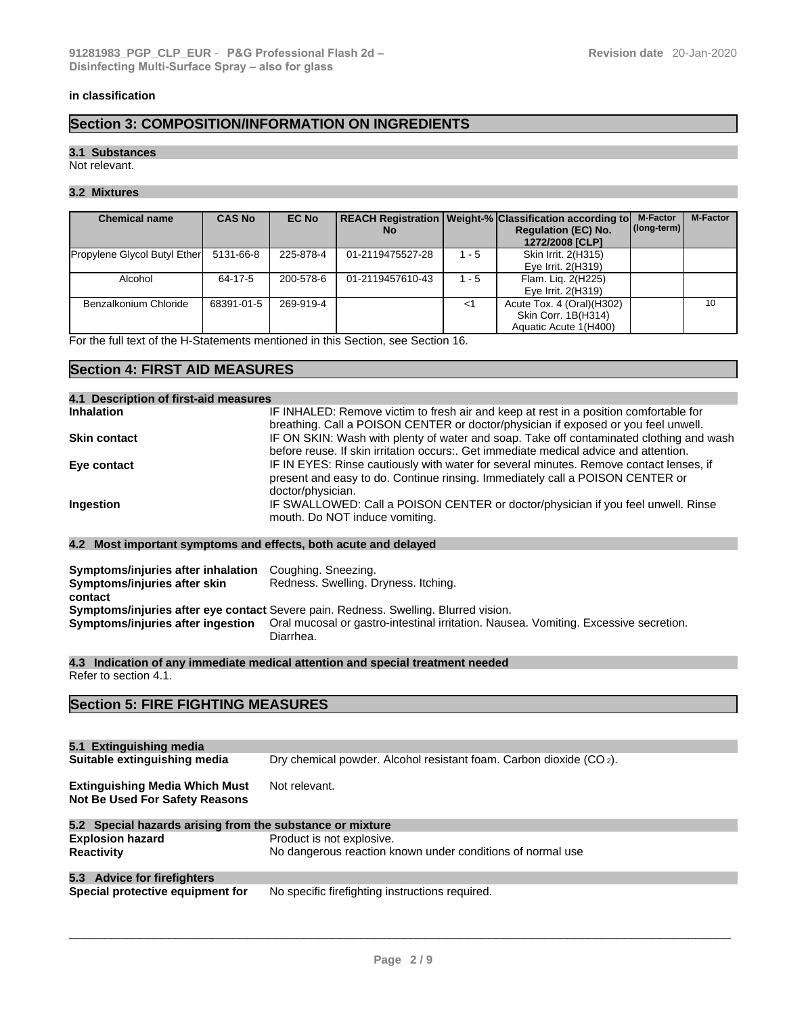#### **in classification**

# **Section 3: COMPOSITION/INFORMATION ON INGREDIENTS**

#### **3.1 Substances**

Not relevant.

# **3.2 Mixtures**

| <b>Chemical name</b>                | <b>CAS No</b> | <b>EC No</b> | No.              |         | <b>REACH Registration   Weight-% Classification according to  </b><br><b>Regulation (EC) No.</b><br>1272/2008 [CLP] | <b>M-Factor</b><br>$\vert$ (long-term) $\vert$ | <b>M-Factor</b> |
|-------------------------------------|---------------|--------------|------------------|---------|---------------------------------------------------------------------------------------------------------------------|------------------------------------------------|-----------------|
| <b>Propylene Glycol Butyl Ether</b> | 5131-66-8     | 225-878-4    | 01-2119475527-28 | $-5$    | Skin Irrit. 2(H315)<br>Eye Irrit. 2(H319)                                                                           |                                                |                 |
| Alcohol                             | 64-17-5       | 200-578-6    | 01-2119457610-43 | $1 - 5$ | Flam. Lig. 2(H225)<br>Eye Irrit. 2(H319)                                                                            |                                                |                 |
| Benzalkonium Chloride               | 68391-01-5    | 269-919-4    |                  | <1      | Acute Tox. 4 (Oral)(H302)<br>Skin Corr. 1B(H314)<br>Aquatic Acute 1(H400)                                           |                                                | 10              |

For the full text of the H-Statements mentioned in this Section, see Section 16.

# **Section 4: FIRST AID MEASURES**

| 4.1 Description of first-aid measures |                                                                                                                                                                                              |
|---------------------------------------|----------------------------------------------------------------------------------------------------------------------------------------------------------------------------------------------|
| <b>Inhalation</b>                     | IF INHALED: Remove victim to fresh air and keep at rest in a position comfortable for<br>breathing. Call a POISON CENTER or doctor/physician if exposed or you feel unwell.                  |
| <b>Skin contact</b>                   | IF ON SKIN: Wash with plenty of water and soap. Take off contaminated clothing and wash<br>before reuse. If skin irritation occurs:. Get immediate medical advice and attention.             |
| Eye contact                           | IF IN EYES: Rinse cautiously with water for several minutes. Remove contact lenses, if<br>present and easy to do. Continue rinsing. Immediately call a POISON CENTER or<br>doctor/physician. |
| Ingestion                             | IF SWALLOWED: Call a POISON CENTER or doctor/physician if you feel unwell. Rinse<br>mouth. Do NOT induce vomiting.                                                                           |

#### **4.2 Most important symptoms and effects, both acute and delayed**

| Symptoms/injuries after inhalation<br>Symptoms/injuries after skin<br>contact | Coughing. Sneezing.<br>Redness. Swelling. Dryness. Itching.                                       |
|-------------------------------------------------------------------------------|---------------------------------------------------------------------------------------------------|
|                                                                               | Symptoms/injuries after eye contact Severe pain. Redness. Swelling. Blurred vision.               |
| Symptoms/injuries after ingestion                                             | Oral mucosal or gastro-intestinal irritation. Nausea. Vomiting. Excessive secretion.<br>Diarrhea. |

**4.3 Indication of any immediate medical attention and special treatment needed** Refer to section 4.1.

# **Section 5: FIRE FIGHTING MEASURES**

| 5.1 Extinguishing media                                                        |                                                                                 |
|--------------------------------------------------------------------------------|---------------------------------------------------------------------------------|
| Suitable extinguishing media                                                   | Dry chemical powder. Alcohol resistant foam. Carbon dioxide (CO <sub>2</sub> ). |
| <b>Extinguishing Media Which Must</b><br><b>Not Be Used For Safety Reasons</b> | Not relevant.                                                                   |
| 5.2 Special hazards arising from the substance or mixture                      |                                                                                 |
| <b>Explosion hazard</b>                                                        | Product is not explosive.                                                       |
| <b>Reactivity</b>                                                              | No dangerous reaction known under conditions of normal use                      |
| 5.3 Advice for firefighters                                                    |                                                                                 |
| Special protective equipment for                                               | No specific firefighting instructions required.                                 |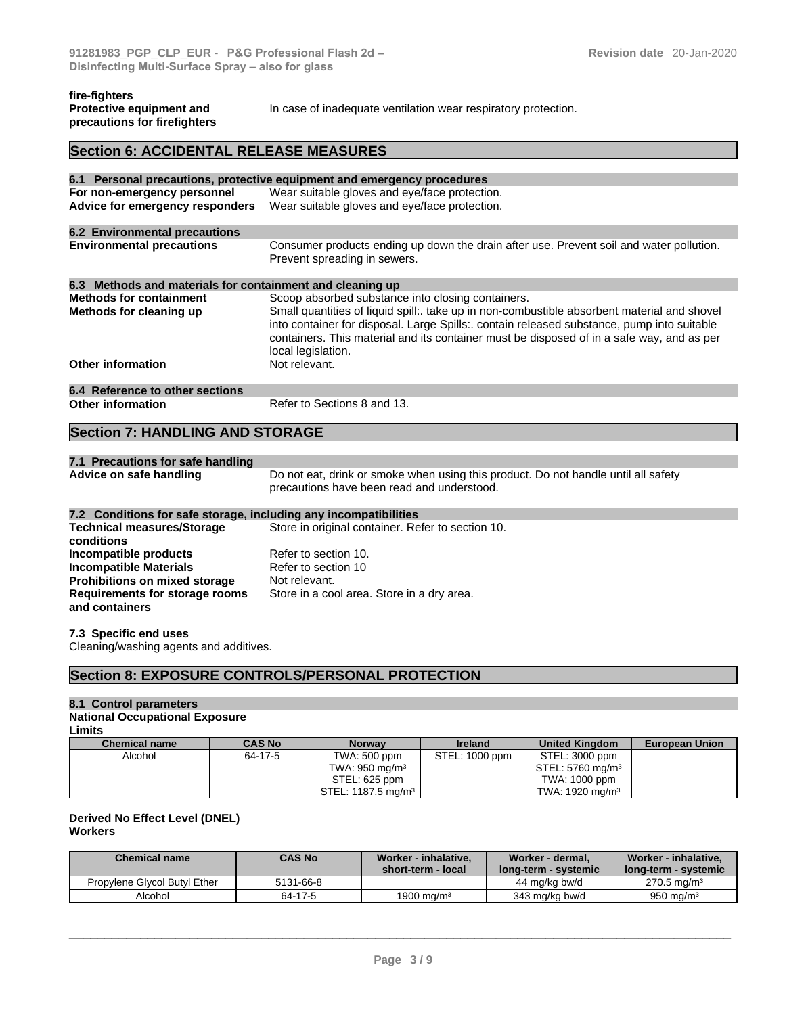#### **fire-fighters Protective equipment and precautions for firefighters**

In case of inadequate ventilation wear respiratory protection.

# **Section 6: ACCIDENTAL RELEASE MEASURES**

|                                                           | 6.1 Personal precautions, protective equipment and emergency procedures                                                                                                                                                                                                                                     |
|-----------------------------------------------------------|-------------------------------------------------------------------------------------------------------------------------------------------------------------------------------------------------------------------------------------------------------------------------------------------------------------|
| For non-emergency personnel                               | Wear suitable gloves and eye/face protection.                                                                                                                                                                                                                                                               |
| Advice for emergency responders                           | Wear suitable gloves and eye/face protection.                                                                                                                                                                                                                                                               |
| <b>6.2 Environmental precautions</b>                      |                                                                                                                                                                                                                                                                                                             |
| <b>Environmental precautions</b>                          | Consumer products ending up down the drain after use. Prevent soil and water pollution.<br>Prevent spreading in sewers.                                                                                                                                                                                     |
| 6.3 Methods and materials for containment and cleaning up |                                                                                                                                                                                                                                                                                                             |
| <b>Methods for containment</b>                            | Scoop absorbed substance into closing containers.                                                                                                                                                                                                                                                           |
| Methods for cleaning up                                   | Small quantities of liquid spill: take up in non-combustible absorbent material and shovel<br>into container for disposal. Large Spills:. contain released substance, pump into suitable<br>containers. This material and its container must be disposed of in a safe way, and as per<br>local legislation. |
| <b>Other information</b>                                  | Not relevant.                                                                                                                                                                                                                                                                                               |
| 6.4 Reference to other sections                           |                                                                                                                                                                                                                                                                                                             |
| <b>Other information</b>                                  | Refer to Sections 8 and 13.                                                                                                                                                                                                                                                                                 |

# **Section 7: HANDLING AND STORAGE**

| 7.1 Precautions for safe handling |                                                                                    |  |
|-----------------------------------|------------------------------------------------------------------------------------|--|
| Advice on safe handling           | Do not eat, drink or smoke when using this product. Do not handle until all safety |  |
|                                   | precautions have been read and understood.                                         |  |

# **7.2 Conditions for safe storage, including any incompatibilities**

| <b>Technical measures/Storage</b>    | Store in original container. Refer to section 10. |
|--------------------------------------|---------------------------------------------------|
| conditions                           |                                                   |
| Incompatible products                | Refer to section 10.                              |
| <b>Incompatible Materials</b>        | Refer to section 10                               |
| <b>Prohibitions on mixed storage</b> | Not relevant.                                     |
| Requirements for storage rooms       | Store in a cool area. Store in a dry area.        |
| and containers                       |                                                   |

### **7.3 Specific end uses**

Cleaning/washing agents and additives.

# **Section 8: EXPOSURE CONTROLS/PERSONAL PROTECTION**

#### **8.1 Control parameters**

#### **National Occupational Exposure**

|  | Limits |
|--|--------|
|  |        |

| <b>Limits</b>        |               |                                          |                |                              |                       |  |  |
|----------------------|---------------|------------------------------------------|----------------|------------------------------|-----------------------|--|--|
| <b>Chemical name</b> | <b>CAS No</b> | <b>Norway</b>                            | <b>Ireland</b> | <b>United Kingdom</b>        | <b>European Union</b> |  |  |
| Alcohol              | 64-17-5       | TWA: 500 ppm                             | STEL: 1000 ppm | STEL: 3000 ppm               |                       |  |  |
|                      |               | TWA: 950 mg/m $3$                        |                | STEL: 5760 mg/m <sup>3</sup> |                       |  |  |
|                      |               | STEL: 625 ppm                            |                | TWA: 1000 ppm                |                       |  |  |
|                      |               | $\sqrt{STEL}$ : 1187.5 mg/m <sup>3</sup> |                | TWA: 1920 mg/m <sup>3</sup>  |                       |  |  |

#### **Derived No Effect Level (DNEL) Workers**

| <b>Chemical name</b>         | <b>CAS No</b> | Worker - inhalative.<br>short-term - local | Worker - dermal.<br><b>long-term - systemic</b> | Worker - inhalative.<br>long-term - systemic |
|------------------------------|---------------|--------------------------------------------|-------------------------------------------------|----------------------------------------------|
| Propylene Givcol Butyl Ether | 5131-66-8     |                                            | 44 mg/kg bw/d                                   | $270.5 \text{ ma/m}^3$                       |
| Alcohol                      | 64-17-5       | 1900 ma/m <sup>3</sup>                     | 343 ma/ka bw/d                                  | $950 \text{ ma/m}^3$                         |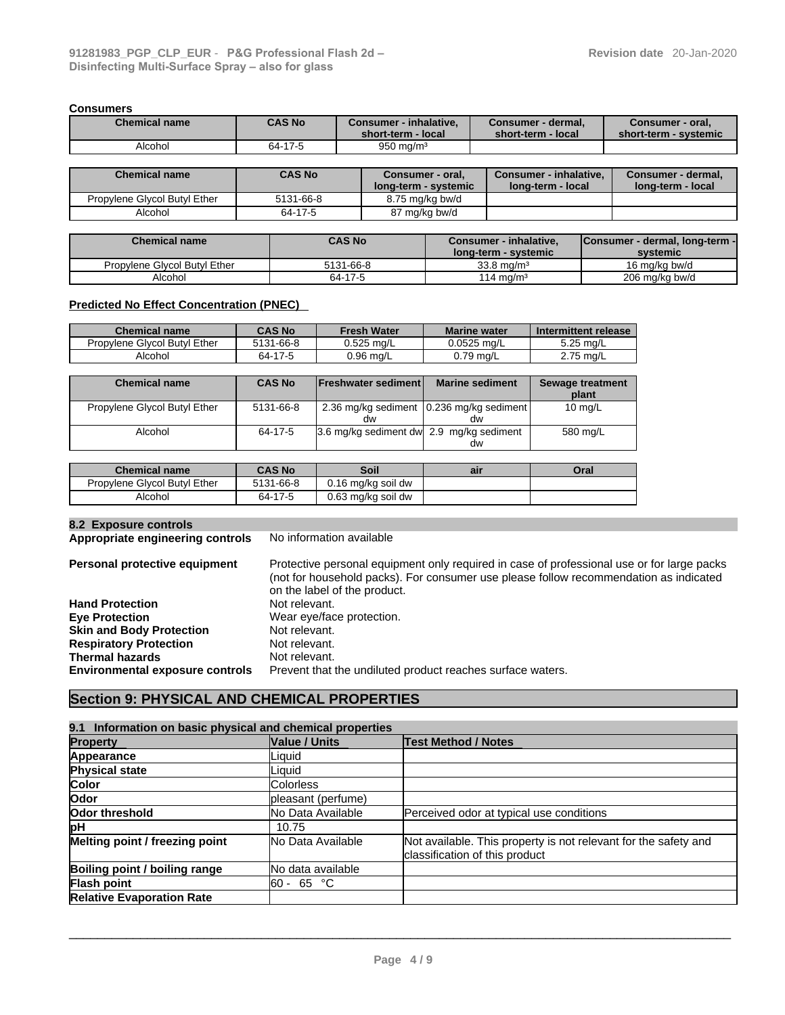#### **Consumers**

| <b>Chemical name</b> | <b>CAS No</b> | Consumer - inhalative,<br>short-term - local | Consumer - dermal,<br>short-term - local | Consumer - oral,<br>short-term - svstemic |
|----------------------|---------------|----------------------------------------------|------------------------------------------|-------------------------------------------|
| Alcohol              | 64-17-5       | $950 \text{ ma/m}^3$                         |                                          |                                           |
|                      |               |                                              |                                          |                                           |
| Chemical name        | CAS No        | Consumer - oral                              | Consumer - inhalative                    | Consumer - dermal                         |

| <b>Chemical name</b>         | <b>CAS No</b> | Consumer - oral,     | Consumer - inhalative.   | Consumer - dermal. |
|------------------------------|---------------|----------------------|--------------------------|--------------------|
|                              |               | long-term - systemic | <b>Iong-term - local</b> | long-term - local  |
| Propylene Glycol Butyl Ether | 5131-66-8     | 8.75 mg/kg bw/d      |                          |                    |
| Alcohol                      | 64-17-5       | 87 mg/kg bw/d        |                          |                    |

| <b>Chemical name</b>         | <b>CAS No</b> | <b>Consumer - inhalative.</b> | Consumer - dermal, long-term - |
|------------------------------|---------------|-------------------------------|--------------------------------|
|                              |               | long-term - systemic          | systemic                       |
| Propylene Givcol Butyl Ether | 5131-66-8     | $33.8 \text{ ma/m}^3$         | 16 ma/ka bw/d                  |
| Alcohol                      | 64-17-5       | 114 mg/m <sup>3</sup>         | 206 mg/kg bw/d                 |

#### **Predicted No Effect Concentration (PNEC)**

| <b>Chemical name</b>         | <b>CAS No</b> | <b>Fresh Water</b> | <b>Marine water</b> | Intermittent release |
|------------------------------|---------------|--------------------|---------------------|----------------------|
| Propylene Glycol Butyl Ether | 5131-66-8     | 0.525 ma/L         | 0.0525 mg/L         | 5.25 mg/L            |
| Alcohol                      | 64-17-5       | 0.96 mg/L          | 0.79 ma/L           | $2.75$ mg/L          |

| <b>Chemical name</b>         | <b>CAS No</b> | <b>IFreshwater sedimentl</b>             | <b>Marine sediment</b>                          | <b>Sewage treatment</b><br>plant |
|------------------------------|---------------|------------------------------------------|-------------------------------------------------|----------------------------------|
| Propylene Glycol Butyl Ether | 5131-66-8     | dw                                       | 2.36 mg/kg sediment 10.236 mg/kg sediment<br>dw | 10 $mq/L$                        |
| Alcohol                      | 64-17-5       | 3.6 mg/kg sediment dw 2.9 mg/kg sediment | dw                                              | 580 mg/L                         |

| <b>Chemical name</b>         | <b>CAS No</b> | Soil               | air | Oral |
|------------------------------|---------------|--------------------|-----|------|
| Propylene Glycol Butyl Ether | 5131-66-8     | 0.16 mg/kg soil dw |     |      |
| Alcohol                      | 64-17-5       | 0.63 mg/kg soil dw |     |      |

#### **8.2 Exposure controls**

**Appropriate engineering controls** No information available

**Personal protective equipment** Protective personal equipment only required in case of professional use or for large packs (not for household packs). For consumer use please follow recommendation as indicated on the label of the product.<br>Not relevant. **Hand Protection**<br>Eye Protection Wear eye/face protection.<br>Not relevant. **Skin and Body Protection** Not relevant.<br> **Respiratory Protection** Not relevant. **Respiratory Protection**<br> **Thermal hazards**<br> **Thermal hazards**<br> **Not relevant. Thermal hazards<br>Environmental exposure controls** Prevent that the undiluted product reaches surface waters.

# **Section 9: PHYSICAL AND CHEMICAL PROPERTIES**

| 9.1 Information on basic physical and chemical properties |                          |                                                                                                   |  |  |  |  |  |
|-----------------------------------------------------------|--------------------------|---------------------------------------------------------------------------------------------------|--|--|--|--|--|
| <b>Property</b>                                           | <b>Value / Units</b>     | <b>Test Method / Notes</b>                                                                        |  |  |  |  |  |
| Appearance                                                | Liquid                   |                                                                                                   |  |  |  |  |  |
| Physical state                                            | Liquid                   |                                                                                                   |  |  |  |  |  |
| Color                                                     | <b>Colorless</b>         |                                                                                                   |  |  |  |  |  |
| Odor                                                      | pleasant (perfume)       |                                                                                                   |  |  |  |  |  |
| Odor threshold                                            | <b>No Data Available</b> | Perceived odor at typical use conditions                                                          |  |  |  |  |  |
| pH                                                        | 10.75                    |                                                                                                   |  |  |  |  |  |
| Melting point / freezing point                            | <b>No Data Available</b> | Not available. This property is not relevant for the safety and<br>classification of this product |  |  |  |  |  |
| Boiling point / boiling range                             | lNo data available       |                                                                                                   |  |  |  |  |  |
| Flash point                                               | l60 - 65 °C              |                                                                                                   |  |  |  |  |  |
| <b>Relative Evaporation Rate</b>                          |                          |                                                                                                   |  |  |  |  |  |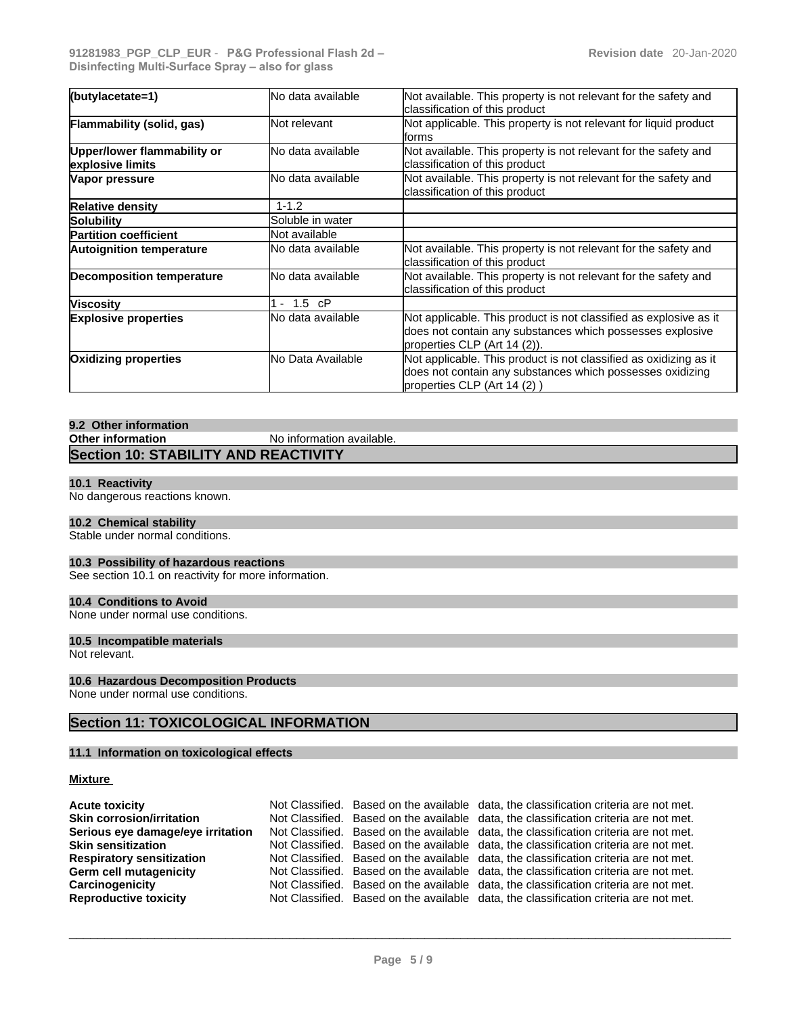| Not available. This property is not relevant for the safety and<br>(butylacetate=1)<br>No data available<br>classification of this product<br>Not applicable. This property is not relevant for liquid product<br><b>Not relevant</b><br>lforms |  |
|-------------------------------------------------------------------------------------------------------------------------------------------------------------------------------------------------------------------------------------------------|--|
| Flammability (solid, gas)                                                                                                                                                                                                                       |  |
|                                                                                                                                                                                                                                                 |  |
| No data available<br>Not available. This property is not relevant for the safety and<br>Upper/lower flammability or<br>classification of this product<br>explosive limits                                                                       |  |
| Not available. This property is not relevant for the safety and<br>No data available<br>Vapor pressure<br>classification of this product                                                                                                        |  |
| $1 - 1.2$<br><b>Relative density</b>                                                                                                                                                                                                            |  |
| Soluble in water<br>Solubility                                                                                                                                                                                                                  |  |
| Not available<br><b>Partition coefficient</b>                                                                                                                                                                                                   |  |
| Not available. This property is not relevant for the safety and<br>No data available<br><b>Autoignition temperature</b><br>classification of this product                                                                                       |  |
| Not available. This property is not relevant for the safety and<br>No data available<br><b>Decomposition temperature</b><br>classification of this product                                                                                      |  |
| $-1.5$ cP<br><b>Viscosity</b>                                                                                                                                                                                                                   |  |
| Not applicable. This product is not classified as explosive as it<br>No data available<br><b>Explosive properties</b><br>does not contain any substances which possesses explosive<br>properties CLP (Art 14 (2)).                              |  |
| Not applicable. This product is not classified as oxidizing as it<br>No Data Available<br><b>Oxidizing properties</b><br>does not contain any substances which possesses oxidizing<br>properties CLP (Art 14 (2))                               |  |

# **9.2 Other information No information available. Section 10: STABILITY AND REACTIVITY**

#### **10.1 Reactivity**

No dangerous reactions known.

#### **10.2 Chemical stability**

Stable under normal conditions.

#### **10.3 Possibility of hazardous reactions**

See section 10.1 on reactivity for more information.

#### **10.4 Conditions to Avoid**

None under normal use conditions.

#### **10.5 Incompatible materials**

Not relevant.

#### **10.6 Hazardous Decomposition Products**

None under normal use conditions.

# **Section 11: TOXICOLOGICAL INFORMATION**

### **11.1 Information on toxicological effects**

#### **Mixture**

| <b>Acute toxicity</b>             |  | Not Classified. Based on the available data, the classification criteria are not met. |
|-----------------------------------|--|---------------------------------------------------------------------------------------|
| <b>Skin corrosion/irritation</b>  |  | Not Classified. Based on the available data, the classification criteria are not met. |
| Serious eye damage/eye irritation |  | Not Classified. Based on the available data, the classification criteria are not met. |
| <b>Skin sensitization</b>         |  | Not Classified. Based on the available data, the classification criteria are not met. |
| <b>Respiratory sensitization</b>  |  | Not Classified. Based on the available data, the classification criteria are not met. |
| Germ cell mutagenicity            |  | Not Classified. Based on the available data, the classification criteria are not met. |
| Carcinogenicity                   |  | Not Classified. Based on the available data, the classification criteria are not met. |
| <b>Reproductive toxicity</b>      |  | Not Classified. Based on the available data, the classification criteria are not met. |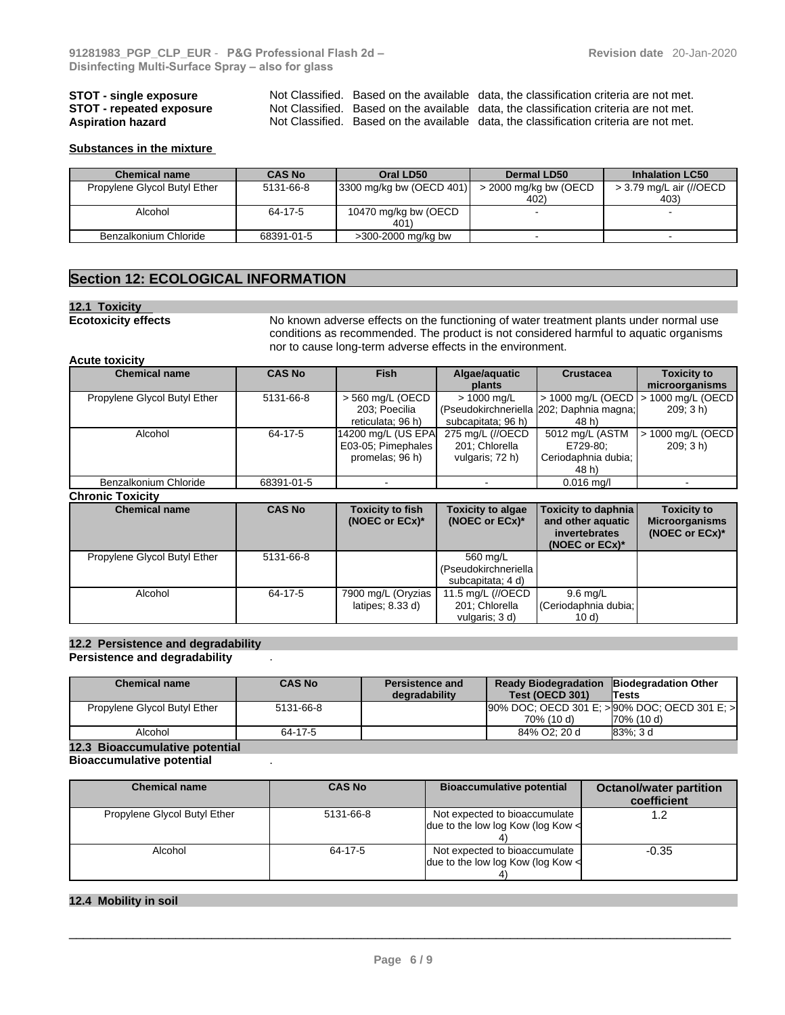**STOT - single exposure** Not Classified. Based on the available data, the classification criteria are not met.<br>**STOT - repeated exposure** Not Classified. Based on the available data, the classification criteria are not met **STOT - repeated exposure** Not Classified. Based on the available data, the classification criteria are not met.<br>**Aspiration hazard** Not Classified. Based on the available data, the classification criteria are not met. Not Classified. Based on the available data, the classification criteria are not met.

#### **Substances in the mixture**

| <b>Chemical name</b>         | <b>CAS No</b> | Oral LD50                             | <b>Dermal LD50</b>       | <b>Inhalation LC50</b>  |
|------------------------------|---------------|---------------------------------------|--------------------------|-------------------------|
| Propylene Glycol Butyl Ether | 5131-66-8     | $(3300 \text{ mg/kg}$ bw $(OECD 401)$ | $>$ 2000 mg/kg bw (OECD) | > 3.79 mg/L air (//OECD |
|                              |               |                                       | 40 <sub>2</sub> )        | 403)                    |
| Alcohol                      | 64-17-5       | 10470 mg/kg bw (OECD                  |                          |                         |
|                              |               | 401)                                  |                          |                         |
| Benzalkonium Chloride        | 68391-01-5    | >300-2000 mg/kg bw                    |                          |                         |

# **Section 12: ECOLOGICAL INFORMATION**

#### **12.1 Toxicity**

**Ecotoxicity effects** No known adverse effects on the functioning of water treatment plants under normal use conditions as recommended. The product is not considered harmful to aquatic organisms nor to cause long-term adverse effects in the environment.

#### **Acute toxicity**

| <b>Chemical name</b>         | <b>CAS No</b> | <b>Fish</b>        | Algae/aquatic      | <b>Crustacea</b>                         | <b>Toxicity to</b>                    |
|------------------------------|---------------|--------------------|--------------------|------------------------------------------|---------------------------------------|
|                              |               |                    | plants             |                                          | microorganisms                        |
| Propylene Glycol Butyl Ether | 5131-66-8     | > 560 mg/L (OECD   | $> 1000$ mg/L      |                                          | > 1000 mg/L (OECD   > 1000 mg/L (OECD |
|                              |               | 203: Poecilia      |                    | (Pseudokirchneriella 202; Daphnia magna; | 209:3 h)                              |
|                              |               | reticulata; 96 h)  | subcapitata; 96 h) | 48 h)                                    |                                       |
| Alcohol                      | 64-17-5       | 14200 mg/L (US EPA | 275 mg/L (//OECD   | 5012 mg/L (ASTM                          | $\vert$ > 1000 mg/L (OECD)            |
|                              |               | E03-05; Pimephales | 201: Chlorella     | E729-80:                                 | 209: 3 h)                             |
|                              |               | promelas; 96 h)    | vulgaris; 72 h)    | Ceriodaphnia dubia;                      |                                       |
|                              |               |                    |                    | 48 h)                                    |                                       |
| Benzalkonium Chloride        | 68391-01-5    |                    |                    | $0.016$ mg/l                             |                                       |

#### **Chronic Toxicity**

| <b>Chemical name</b>         | <b>CAS No</b> | <b>Toxicity to fish</b><br>(NOEC or $ECx$ )* | <b>Toxicity to algae</b><br>(NOEC or $ECx$ )*          | Toxicity to daphnia<br>and other aquatic<br>invertebrates<br>(NOEC or $ECx$ )* | <b>Toxicity to</b><br><b>Microorganisms</b><br>(NOEC or $ECx$ )* |
|------------------------------|---------------|----------------------------------------------|--------------------------------------------------------|--------------------------------------------------------------------------------|------------------------------------------------------------------|
| Propylene Glycol Butyl Ether | 5131-66-8     |                                              | 560 mg/L<br>(Pseudokirchneriella)<br>subcapitata; 4 d) |                                                                                |                                                                  |
| Alcohol                      | 64-17-5       | 7900 mg/L (Oryzias<br>latipes; $8.33 d$ )    | 11.5 mg/L (//OECD<br>201; Chlorella<br>vulgaris: 3 d)  | $9.6 \text{ mg/L}$<br>Ceriodaphnia dubia; I<br>10 d)                           |                                                                  |

#### **12.2 Persistence and degradability Persistence and degradability** .

| [90% DOC; OECD 301 E; > 90% DOC; OECD 301 E; ><br>Propylene Glycol Butyl Ether<br>5131-66-8 | Ready Biodegradation Biodegradation Other<br>Test (OECD 301)<br><b>Tests</b> |
|---------------------------------------------------------------------------------------------|------------------------------------------------------------------------------|
|                                                                                             |                                                                              |
| 70% (10 d)<br>70% (10 d)                                                                    |                                                                              |
| 84% O2: 20 d<br>Alcohol<br>83%: 3 d<br>64-17-5                                              |                                                                              |

# **12.3 Bioaccumulative potential**

#### **Bioaccumulative potential** .

| <b>Chemical name</b>         | <b>CAS No</b> | <b>Bioaccumulative potential</b>                                        | <b>Octanol/water partition</b><br>coefficient |
|------------------------------|---------------|-------------------------------------------------------------------------|-----------------------------------------------|
| Propylene Glycol Butyl Ether | 5131-66-8     | Not expected to bioaccumulate<br>due to the low log Kow (log Kow $\leq$ |                                               |
| Alcohol                      | 64-17-5       | Not expected to bioaccumulate<br>due to the low log Kow (log Kow $\leq$ | $-0.35$                                       |

#### **12.4 Mobility in soil**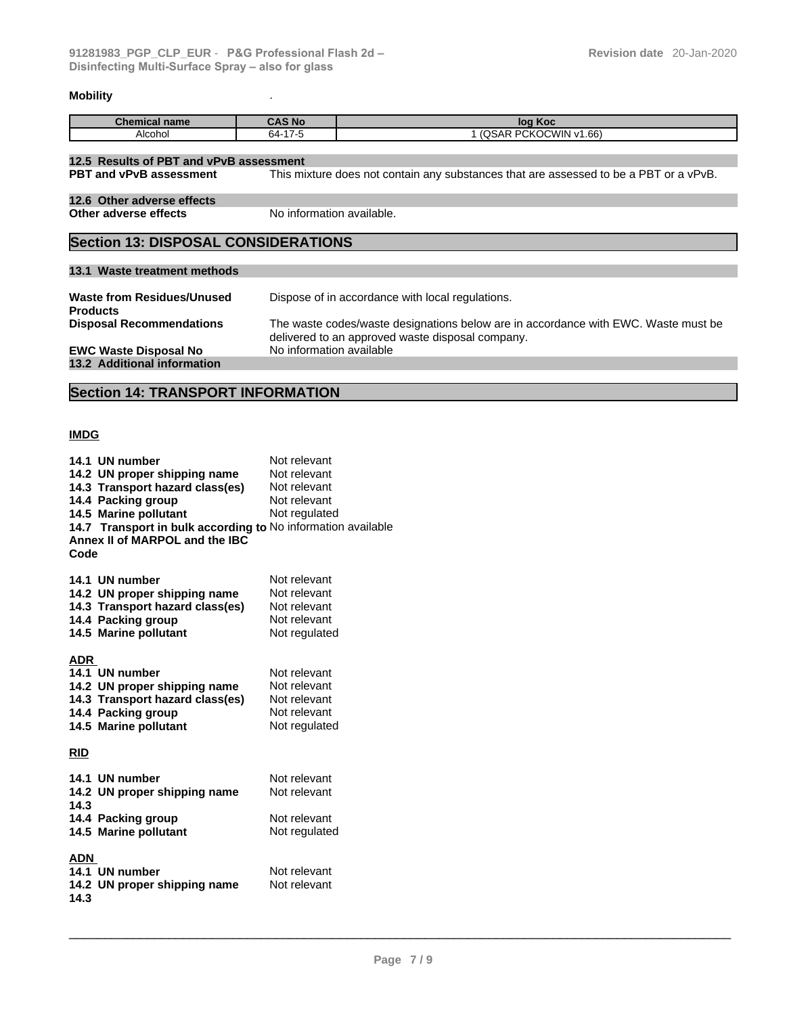# **Mobility** .

| Chemical<br>∣name | <b>AS No</b>                           | Koc<br>.                                                    |
|-------------------|----------------------------------------|-------------------------------------------------------------|
| Alcohol           | $\overline{\phantom{a}}$<br>64-<br>. - | <b>PCKOCWIN</b><br>1.66)<br>n<br>$\mathbf{A}$<br>.<br>ואכשי |

| 12.5 Results of PBT and vPvB assessment                                                                                 |                                                                                                                                        |  |
|-------------------------------------------------------------------------------------------------------------------------|----------------------------------------------------------------------------------------------------------------------------------------|--|
| This mixture does not contain any substances that are assessed to be a PBT or a vPvB.<br><b>PBT and vPvB assessment</b> |                                                                                                                                        |  |
| 12.6 Other adverse effects                                                                                              |                                                                                                                                        |  |
| No information available.<br>Other adverse effects                                                                      |                                                                                                                                        |  |
| <b>Section 13: DISPOSAL CONSIDERATIONS</b>                                                                              |                                                                                                                                        |  |
|                                                                                                                         |                                                                                                                                        |  |
| 13.1 Waste treatment methods                                                                                            |                                                                                                                                        |  |
| Waste from Residues/Unused<br><b>Products</b>                                                                           | Dispose of in accordance with local regulations.                                                                                       |  |
| <b>Disposal Recommendations</b>                                                                                         | The waste codes/waste designations below are in accordance with EWC. Waste must be<br>delivered to an approved waste disposal company. |  |
| <b>EWC Waste Disposal No</b>                                                                                            | No information available                                                                                                               |  |
| 13.2 Additional information                                                                                             |                                                                                                                                        |  |

# **Section 14: TRANSPORT INFORMATION**

# **IMDG**

|            | 14.1 UN number                                               | Not relevant  |
|------------|--------------------------------------------------------------|---------------|
|            | 14.2 UN proper shipping name                                 | Not relevant  |
|            | 14.3 Transport hazard class(es)                              | Not relevant  |
|            | 14.4 Packing group                                           | Not relevant  |
|            | 14.5 Marine pollutant                                        | Not regulated |
|            | 14.7 Transport in bulk according to No information available |               |
|            | Annex II of MARPOL and the IBC                               |               |
| Code       |                                                              |               |
|            |                                                              |               |
|            | 14.1 UN number                                               | Not relevant  |
|            | 14.2 UN proper shipping name                                 | Not relevant  |
|            | 14.3 Transport hazard class(es)                              | Not relevant  |
|            | 14.4 Packing group                                           | Not relevant  |
|            | 14.5 Marine pollutant                                        | Not regulated |
|            |                                                              |               |
| ADR        |                                                              |               |
|            | 14.1 UN number                                               | Not relevant  |
|            | 14.2 UN proper shipping name                                 | Not relevant  |
|            | 14.3 Transport hazard class(es)                              | Not relevant  |
|            | 14.4 Packing group                                           | Not relevant  |
|            | 14.5 Marine pollutant                                        | Not regulated |
|            |                                                              |               |
| <b>RID</b> |                                                              |               |
|            |                                                              | Not relevant  |
|            | 14.1 UN number                                               | Not relevant  |
| 14.3       | 14.2 UN proper shipping name                                 |               |
|            | 14.4 Packing group                                           | Not relevant  |
|            | 14.5 Marine pollutant                                        | Not regulated |
|            |                                                              |               |
| ADN        |                                                              |               |
|            | 14.1 UN number                                               | Not relevant  |
|            | 14.2 UN proper shipping name                                 | Not relevant  |
| 14.3       |                                                              |               |
|            |                                                              |               |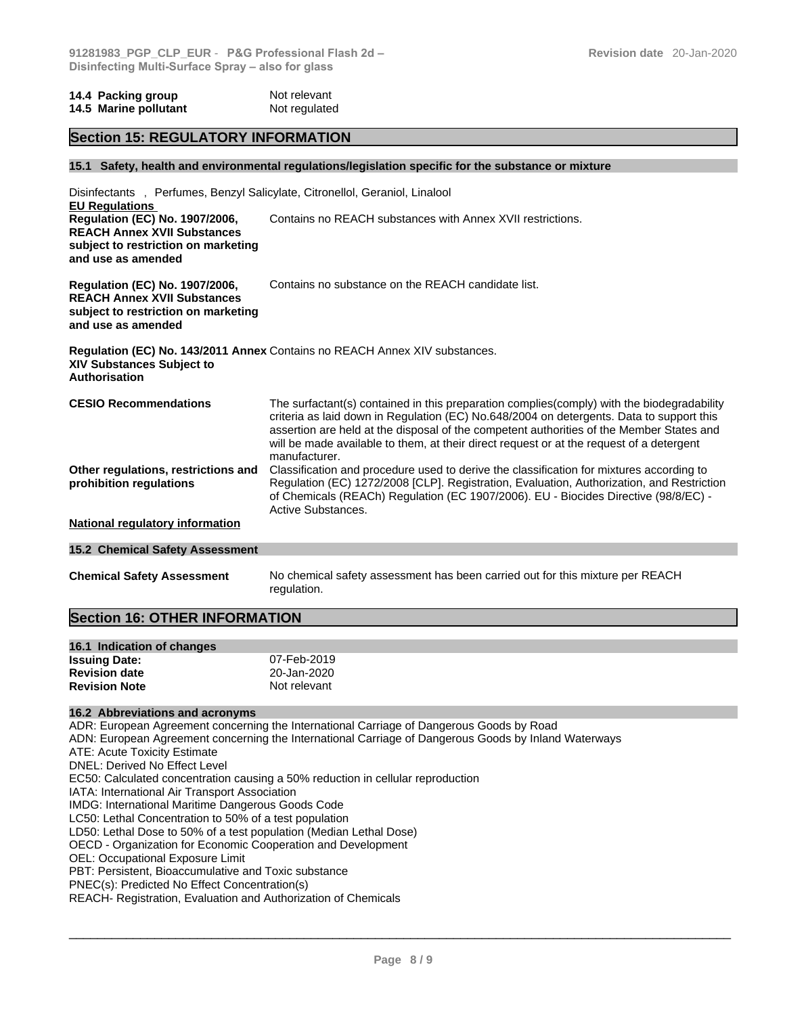#### **14.4 Packing group Mot relevant 14.5 Marine pollutant** Not regulated

#### **Section 15: REGULATORY INFORMATION**

#### **15.1 Safety, health and environmental regulations/legislation specific for the substance or mixture**

| Disinfectants, Perfumes, Benzyl Salicylate, Citronellol, Geraniol, Linalool<br><b>EU Regulations</b>                                     |                                                                                                                                                                                                                                                                                                                                                                                                 |  |  |  |
|------------------------------------------------------------------------------------------------------------------------------------------|-------------------------------------------------------------------------------------------------------------------------------------------------------------------------------------------------------------------------------------------------------------------------------------------------------------------------------------------------------------------------------------------------|--|--|--|
| Regulation (EC) No. 1907/2006,<br><b>REACH Annex XVII Substances</b><br>subject to restriction on marketing<br>and use as amended        | Contains no REACH substances with Annex XVII restrictions.                                                                                                                                                                                                                                                                                                                                      |  |  |  |
| <b>Regulation (EC) No. 1907/2006,</b><br><b>REACH Annex XVII Substances</b><br>subject to restriction on marketing<br>and use as amended | Contains no substance on the REACH candidate list.                                                                                                                                                                                                                                                                                                                                              |  |  |  |
| <b>XIV Substances Subject to</b><br><b>Authorisation</b>                                                                                 | Regulation (EC) No. 143/2011 Annex Contains no REACH Annex XIV substances.                                                                                                                                                                                                                                                                                                                      |  |  |  |
| <b>CESIO Recommendations</b>                                                                                                             | The surfactant(s) contained in this preparation complies(comply) with the biodegradability<br>criteria as laid down in Regulation (EC) No.648/2004 on detergents. Data to support this<br>assertion are held at the disposal of the competent authorities of the Member States and<br>will be made available to them, at their direct request or at the request of a detergent<br>manufacturer. |  |  |  |
| Other regulations, restrictions and<br>prohibition regulations                                                                           | Classification and procedure used to derive the classification for mixtures according to<br>Regulation (EC) 1272/2008 [CLP]. Registration, Evaluation, Authorization, and Restriction<br>of Chemicals (REACh) Regulation (EC 1907/2006). EU - Biocides Directive (98/8/EC) -<br>Active Substances.                                                                                              |  |  |  |
| <b>National regulatory information</b>                                                                                                   |                                                                                                                                                                                                                                                                                                                                                                                                 |  |  |  |
| <b>15.2 Chemical Safety Assessment</b>                                                                                                   |                                                                                                                                                                                                                                                                                                                                                                                                 |  |  |  |
| <b>Chemical Safety Assessment</b>                                                                                                        | No chemical safety assessment has been carried out for this mixture per REACH<br>regulation.                                                                                                                                                                                                                                                                                                    |  |  |  |

# **Section 16: OTHER INFORMATION**

| 16.1 Indication of changes |              |
|----------------------------|--------------|
| <b>Issuing Date:</b>       | 07-Feb-2019  |
| <b>Revision date</b>       | 20-Jan-2020  |
| <b>Revision Note</b>       | Not relevant |

#### **16.2 Abbreviations and acronyms**

ADR: European Agreement concerning the International Carriage of Dangerous Goods by Road ADN: European Agreement concerning the International Carriage of Dangerous Goods by Inland Waterways ATE: Acute Toxicity Estimate DNEL: Derived No Effect Level EC50: Calculated concentration causing a 50% reduction in cellular reproduction IATA: International Air Transport Association IMDG: International Maritime Dangerous Goods Code LC50: Lethal Concentration to 50% of a test population LD50: Lethal Dose to 50% of a test population (Median Lethal Dose) OECD - Organization for Economic Cooperation and Development OEL: Occupational Exposure Limit PBT: Persistent, Bioaccumulative and Toxic substance PNEC(s): Predicted No Effect Concentration(s) REACH- Registration, Evaluation and Authorization of Chemicals